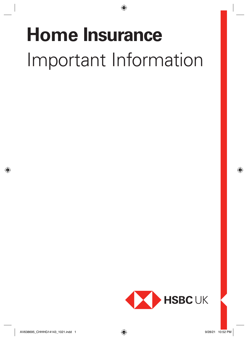# **Home Insurance** Important Information

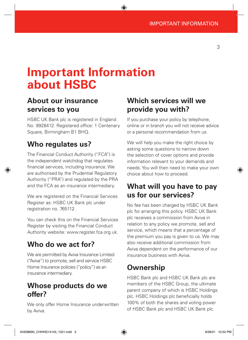# **Important Information about HSBC**

# **About our insurance services to you**

HSBC UK Bank plc is registered in England No. 9928412. Registered office: 1 Centenary Square, Birmingham B1 BHQ.

# **Who regulates us?**

The Financial Conduct Authority ("FCA") is the independent watchdog that regulates financial services, including insurance. We are authorised by the Prudential Regulatory Authority ("PRA") and regulated by the PRA and the FCA as an insurance intermediary.

We are registered on the Financial Services Register as: HSBC UK Bank plc under registration no. 765112.

You can check this on the Financial Services Register by visiting the Financial Conduct Authority website: www.register.fca.org.uk.

# **Who do we act for?**

We are permitted by Aviva Insurance Limited ("Aviva") to promote, sell and service HSBC Home Insurance policies ("policy") as an insurance intermediary.

# **Whose products do we offer?**

We only offer Home Insurance underwritten by Aviva.

# **Which services will we provide you with?**

If you purchase your policy by telephone, online or in branch you will not receive advice or a personal recommendation from us.

We will help you make the right choice by asking some questions to narrow down the selection of cover options and provide information relevant to your demands and needs. You will then need to make your own choice about how to proceed.

# **What will you have to pay us for our services?**

No fee has been charged by HSBC UK Bank plc for arranging this policy. HSBC UK Bank plc receives a commission from Aviva in relation to any policy we promote, sell and service, which means that a percentage of the premium you pay is given to us. We may also receive additional commission from Aviva dependent on the performance of our insurance business with Aviva.

# **Ownership**

HSBC Bank plc and HSBC UK Bank plc are members of the HSBC Group, the ultimate parent company of which is HSBC Holdings plc. HSBC Holdings plc beneficially holds 100% of both the shares and voting power of HSBC Bank plc and HSBC UK Bank plc.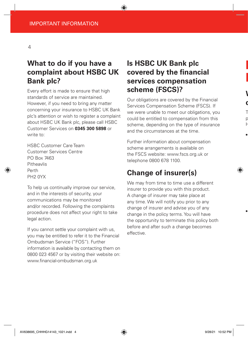# **What to do if you have a complaint about HSBC UK Bank plc?**

Every effort is made to ensure that high standards of service are maintained. However, if you need to bring any matter concerning your insurance to HSBC UK Bank plc's attention or wish to register a complaint about HSBC UK Bank plc, please call HSBC Customer Services on **0345 300 5898** or write to:

HSBC Customer Care Team Customer Services Centre PO Box 7463 Pitheavlis Perth PH2 0YX

To help us continually improve our service, and in the interests of security, your communications may be monitored and/or recorded. Following the complaints procedure does not affect your right to take legal action.

If you cannot settle your complaint with us, you may be entitled to refer it to the Financial Ombudsman Service ("FOS"). Further information is available by contacting them on 0800 023 4567 or by visiting their website on: www.financial-ombudsman.org.uk

# **Is HSBC UK Bank plc covered by the financial services compensation scheme (FSCS)?**

Our obligations are covered by the Financial Services Compensation Scheme (FSCS). If we were unable to meet our obligations, you could be entitled to compensation from this scheme, depending on the type of insurance and the circumstances at the time.

Further information about compensation scheme arrangements is available on the FSCS website: www.fscs.org.uk or telephone 0800 678 1100.

# **Change of insurer(s)**

We may from time to time use a different insurer to provide you with this product. A change of insurer may take place at any time. We will notify you prior to any change of insurer and advise you of any change in the policy terms. You will have the opportunity to terminate this policy both before and after such a change becomes effective.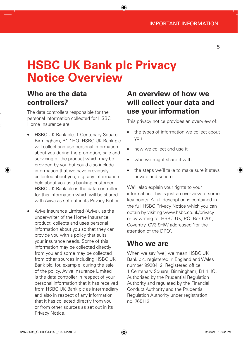# **HSBC UK Bank plc Privacy Notice Overview**

# **Who are the data controllers?**

The data controllers responsible for the personal information collected for HSBC Home Insurance are:

- HSBC UK Bank plc, 1 Centenary Square, Birmingham, B1 1HQ. HSBC UK Bank plc will collect and use personal information about you during the promotion, sale and servicing of the product which may be provided by you but could also include information that we have previously collected about you, e.g. any information held about you as a banking customer. HSBC UK Bank plc is the data controller for this information which will be shared with Aviva as set out in its Privacy Notice.
- Aviva Insurance Limited (Aviva), as the underwriter of the Home Insurance product, collects and uses personal information about you so that they can provide you with a policy that suits your insurance needs. Some of this information may be collected directly from you and some may be collected from other sources including HSBC UK Bank plc, for, example, during the sale of the policy. Aviva Insurance Limited is the data controller in respect of your personal information that it has received from HSBC UK Bank plc as intermediary and also in respect of any information that it has collected directly from you or from other sources as set out in its Privacy Notice.

# **An overview of how we will collect your data and use your information**

This privacy notice provides an overview of:

- the types of information we collect about you
- how we collect and use it
- who we might share it with
- the steps we'll take to make sure it stays private and secure.

We'll also explain your rights to your information. This is just an overview of some key points. A full description is contained in the full HSBC Privacy Notice which you can obtain by visiting www.hsbc.co.uk/privacy or by writing to: HSBC UK, P.O. Box 6201, Coventry, CV3 9HW addressed 'for the attention of the DPO'.

## **Who we are**

When we say 'we', we mean HSBC UK Bank plc, registered in England and Wales number 9928412. Registered office 1 Centenary Square, Birmingham, B1 1HQ. Authorised by the Prudential Regulation Authority and regulated by the Financial Conduct Authority and the Prudential Regulation Authority under registration no. 765112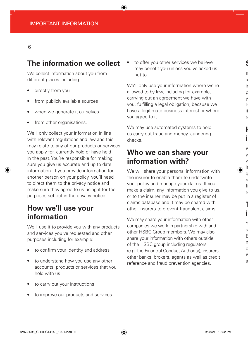# **The information we collect**

We collect information about you from different places including:

- directly from you
- from publicly available sources
- when we generate it ourselves
- from other organisations.

We'll only collect your information in line with relevant regulations and law and this may relate to any of our products or services you apply for, currently hold or have held in the past. You're responsible for making sure you give us accurate and up to date information. If you provide information for another person on your policy, you'll need to direct them to the privacy notice and make sure they agree to us using it for the purposes set out in the privacy notice.

# **How we'll use your information**

We'll use it to provide you with any products and services you've requested and other purposes including for example:

- to confirm your identity and address
- to understand how you use any other accounts, products or services that you hold with us
- to carry out your instructions
- to improve our products and services

to offer you other services we believe may benefit you unless you've asked us not to.

We'll only use your information where we're allowed to by law, including for example, carrying out an agreement we have with you, fulfilling a legal obligation, because we have a legitimate business interest or where you agree to it.

We may use automated systems to help us carry out fraud and money laundering checks.

# **Who we can share your information with?**

We will share your personal information with the insurer to enable them to underwrite your policy and manage your claims. If you make a claim, any information you give to us, or to the insurer may be put in a register of claims database and it may be shared with other insurers to prevent fraudulent claims.

We may share your information with other companies we work in partnership with and other HSBC Group members. We may also share your information with others outside of the HSBC group including regulators (e.g. the Financial Conduct Authority), insurers, other banks, brokers, agents as well as credit reference and fraud prevention agencies.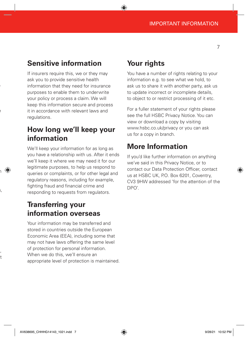# **Sensitive information**

If insurers require this, we or they may ask you to provide sensitive health information that they need for insurance purposes to enable them to underwrite your policy or process a claim. We will keep this information secure and process it in accordance with relevant laws and regulations.

# **How long we'll keep your information**

We'll keep your information for as long as you have a relationship with us. After it ends we'll keep it where we may need it for our legitimate purposes, to help us respond to queries or complaints, or for other legal and regulatory reasons, including for example, fighting fraud and financial crime and responding to requests from regulators.

# **Transferring your information overseas**

Your information may be transferred and stored in countries outside the European Economic Area (EEA), including some that may not have laws offering the same level of protection for personal information. When we do this, we'll ensure an appropriate level of protection is maintained.

# **Your rights**

You have a number of rights relating to your information e.g. to see what we hold, to ask us to share it with another party, ask us to update incorrect or incomplete details, to object to or restrict processing of it etc.

For a fuller statement of your rights please see the full HSBC Privacy Notice. You can view or download a copy by visiting www.hsbc.co.uk/privacy or you can ask us for a copy in branch.

# **More Information**

If you'd like further information on anything we've said in this Privacy Notice, or to contact our Data Protection Officer, contact us at HSBC UK, P.O. Box 6201, Coventry, CV3 9HW addressed 'for the attention of the DPO'.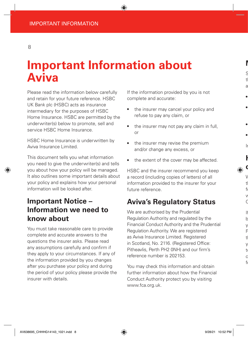# **Important Information about Aviva**

Please read the information below carefully and retain for your future reference. HSBC UK Bank plc (HSBC) acts as insurance intermediary for the purposes of HSBC Home Insurance. HSBC are permitted by the underwriter(s) below to promote, sell and service HSBC Home Insurance.

HSBC Home Insurance is underwritten by Aviva Insurance Limited.

This document tells you what information you need to give the underwriter(s) and tells you about how your policy will be managed. It also outlines some important details about your policy and explains how your personal information will be looked after.

# **Important Notice – Information we need to know about**

You must take reasonable care to provide complete and accurate answers to the questions the insurer asks. Please read any assumptions carefully and confirm if they apply to your circumstances. If any of the information provided by you changes after you purchase your policy and during the period of your policy please provide the insurer with details.

If the information provided by you is not complete and accurate:

- the insurer may cancel your policy and refuse to pay any claim, or
- the insurer may not pay any claim in full, or
- the insurer may revise the premium and/or change any excess, or
- the extent of the cover may be affected.

HSBC and the insurer recommend you keep a record (including copies of letters) of all information provided to the insurer for your future reference.

# **Aviva's Regulatory Status**

We are authorised by the Prudential Regulation Authority and regulated by the Financial Conduct Authority and the Prudential Regulation Authority. We are registered as Aviva Insurance Limited. Registered in Scotland, No. 2116. (Registered Office: Pitheavlis, Perth PH2 0NH) and our firm's reference number is 202153.

You may check this information and obtain further information about how the Financial Conduct Authority protect you by visiting [www.fca.org.uk.](http://www.fca.org.uk)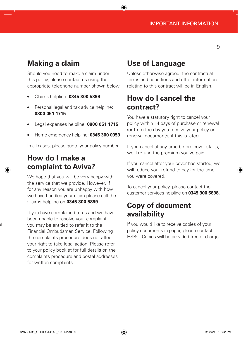# **Making a claim**

Should you need to make a claim under this policy, please contact us using the appropriate telephone number shown below:

- Claims helpline: **0345 300 5899**
- Personal legal and tax advice helpline: **0800 051 1715**
- Legal expenses helpline: **0800 051 1715**
- Home emergency helpline: **0345 300 0959**

In all cases, please quote your policy number.

## **How do I make a complaint to Aviva?**

We hope that you will be very happy with the service that we provide. However, if for any reason you are unhappy with how we have handled your claim please call the Claims helpline on **0345 300 5899**.

If you have complained to us and we have been unable to resolve your complaint, you may be entitled to refer it to the Financial Ombudsman Service. Following the complaints procedure does not affect your right to take legal action. Please refer to your policy booklet for full details on the complaints procedure and postal addresses for written complaints.

### **Use of Language**

Unless otherwise agreed, the contractual terms and conditions and other information relating to this contract will be in English.

# **How do I cancel the contract?**

You have a statutory right to cancel your policy within 14 days of purchase or renewal (or from the day you receive your policy or renewal documents, if this is later).

If you cancel at any time before cover starts, we'll refund the premium you've paid.

If you cancel after your cover has started, we will reduce your refund to pay for the time you were covered.

To cancel your policy, please contact the customer services helpline on **0345 300 5898.**

# **Copy of document availability**

If you would like to receive copies of your policy documents in paper, please contact HSBC. Copies will be provided free of charge.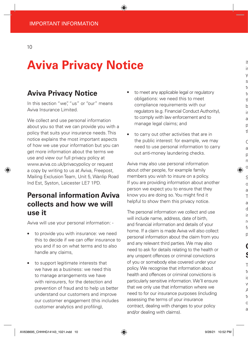# **Aviva Privacy Notice**

# **Aviva Privacy Notice**

In this section "we", "us" or "our" means Aviva Insurance Limited.

We collect and use personal information about you so that we can provide you with a policy that suits your insurance needs. This notice explains the most important aspects of how we use your information but you can get more information about the terms we use and view our full privacy policy at [www.aviva.co.uk/privacypolicy](http://www.aviva.co.uk/privacypolicy) or request a copy by writing to us at Aviva, Freepost, Mailing Exclusion Team, Unit 5, Wanlip Road Ind Est, Syston, Leicester LE7 1PD.

# **Personal information Aviva collects and how we will use it**

Aviva will use your personal information: -

- to provide you with insurance: we need this to decide if we can offer insurance to you and if so on what terms and to also handle any claims,
- to support legitimate interests that we have as a business: we need this to manage arrangements we have with reinsurers, for the detection and prevention of fraud and to help us better understand our customers and improve our customer engagement (this includes customer analytics and profiling),
- to meet any applicable legal or regulatory obligations: we need this to meet compliance requirements with our regulators (e.g. Financial Conduct Authority), to comply with law enforcement and to manage legal claims; and
- to carry out other activities that are in the public interest: for example, we may need to use personal information to carry out anti-money laundering checks.

Aviva may also use personal information about other people, for example family members you wish to insure on a policy. If you are providing information about another person we expect you to ensure that they know you are doing so. You might find it helpful to show them this privacy notice.

The personal information we collect and use will include name, address, date of birth, and financial information and details of your home. If a claim is made Aviva will also collect personal information about the claim from you and any relevant third parties. We may also need to ask for details relating to the health or any unspent offences or criminal convictions of you or somebody else covered under your policy. We recognise that information about health and offences or criminal convictions is particularly sensitive information. We'll ensure that we only use that information where we need to for our insurance purposes (including assessing the terms of your insurance contract, dealing with changes to your policy and/or dealing with claims).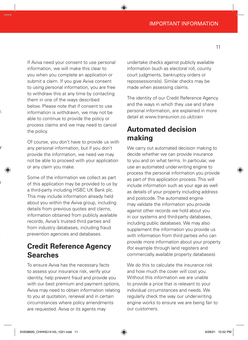If Aviva need your consent to use personal information, we will make this clear to you when you complete an application or submit a claim. If you give Aviva consent to using personal information, you are free to withdraw this at any time by contacting them in one of the ways described below. Please note that if consent to use information is withdrawn, we may not be able to continue to provide the policy or process claims and we may need to cancel the policy.

Of course, you don't have to provide us with any personal information, but if you don't provide the information, we need we may not be able to proceed with your application or any claim you make.

Some of the information we collect as part of this application may be provided to us by a third-party including HSBC UK Bank plc. This may include information already held about you within the Aviva group, including details from previous quotes and claims, information obtained from publicly available records, Aviva's trusted third parties and from industry databases, including fraud prevention agencies and databases.

# **Credit Reference Agency Searches**

To ensure Aviva has the necessary facts to assess your insurance risk, verify your identity, help prevent fraud and provide you with our best premium and payment options, Aviva may need to obtain information relating to you at quotation, renewal and in certain circumstances where policy amendments are requested. Aviva or its agents may

undertake checks against publicly available information (such as electoral roll, county court judgments, bankruptcy orders or repossessions(s). Similar checks may be made when assessing claims.

The identity of our Credit Reference Agency and the ways in which they use and share personal information, are explained in more detail at www.transunion.co.uk/crain

# **Automated decision making**

We carry out automated decision making to decide whether we can provide insurance to you and on what terms. In particular, we use an automated underwriting engine to process the personal information you provide as part of this application process. This will include information such as your age as well as details of your property including address and postcode. The automated engine may validate the information you provide against other records we hold about you in our systems and third-party databases, including public databases. We may also supplement the information you provide us with information from third parties who can provide more information about your property (for example through land registers and commercially available property databases).

We do this to calculate the insurance risk and how much the cover will cost you. Without this information we are unable to provide a price that is relevant to your individual circumstances and needs. We regularly check the way our underwriting engine works to ensure we are being fair to our customers.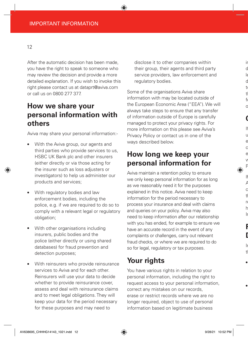After the automatic decision has been made, you have the right to speak to someone who may review the decision and provide a more detailed explanation. If you wish to invoke this right please contact us at [dataprt@aviva.com](mailto:dataprt@aviva.com) or call us on 0800 277 377.

# **How we share your personal information with others**

Aviva may share your personal information:-

- With the Aviva group, our agents and third parties who provide services to us, HSBC UK Bank plc and other insurers (either directly or via those acting for the insurer such as loss adjusters or investigators) to help us administer our products and services;
- With regulatory bodies and law enforcement bodies, including the police, e.g. if we are required to do so to comply with a relevant legal or regulatory obligation;
- With other organisations including insurers, public bodies and the police (either directly or using shared databases) for fraud prevention and detection purposes;
- With reinsurers who provide reinsurance services to Aviva and for each other. Reinsurers will use your data to decide whether to provide reinsurance cover, assess and deal with reinsurance claims and to meet legal obligations. They will keep your data for the period necessary for these purposes and may need to

disclose it to other companies within their group, their agents and third party service providers, law enforcement and regulatory bodies.

Some of the organisations Aviva share information with may be located outside of the European Economic Area ("EEA"). We will always take steps to ensure that any transfer of information outside of Europe is carefully managed to protect your privacy rights. For more information on this please see Aviva's Privacy Policy or contact us in one of the ways described below.

# **How long we keep your personal information for**

Aviva maintain a retention policy to ensure we only keep personal information for as long as we reasonably need it for the purposes explained in this notice. Aviva need to keep information for the period necessary to process your insurance and deal with claims and queries on your policy. Aviva may also need to keep information after our relationship with you has ended, for example to ensure we have an accurate record in the event of any complaints or challenges, carry out relevant fraud checks, or where we are required to do so for legal, regulatory or tax purposes.

# **Your rights**

You have various rights in relation to your personal information, including the right to request access to your personal information, correct any mistakes on our records, erase or restrict records where we are no longer required, object to use of personal information based on legitimate business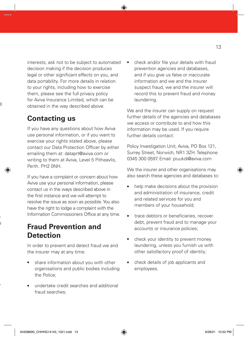interests, ask not to be subject to automated decision making if the decision produces legal or other significant effects on you, and data portability. For more details in relation to your rights, including how to exercise them, please see the full privacy policy for Aviva Insurance Limited, which can be obtained in the way described above.

# **Contacting us**

If you have any questions about how Aviva use personal information, or if you want to exercise your rights stated above, please contact our Data Protection Officer by either emailing them at: [dataprt@aviva.com](mailto:dataprt@aviva.com) or writing to them at Aviva, Level 5 Pitheavlis, Perth. PH2 0NH.

If you have a complaint or concern about how Aviva use your personal information, please contact us in the ways described above in the first instance and we will attempt to resolve the issue as soon as possible. You also have the right to lodge a complaint with the Information Commissioners Office at any time.

# **Fraud Prevention and Detection**

In order to prevent and detect fraud we and the insurer may at any time:

- share information about you with other organisations and public bodies including the Police;
- undertake credit searches and additional fraud searches;

check and/or file your details with fraud prevention agencies and databases, and if you give us false or inaccurate information and we and the insurer suspect fraud, we and the insurer will record this to prevent fraud and money laundering.

We and the insurer can supply on request further details of the agencies and databases we access or contribute to and how this information may be used. If you require further details contact:

Policy Investigation Unit, Aviva, PO Box 121, Surrey Street, Norwich, NR1 3ZH. Telephone 0345 300 0597. Email: piuukdi@aviva.com

We the insurer and other organisations may also search these agencies and databases to:

- help make decisions about the provision and administration of insurance, credit and related services for you and members of your household;
- trace debtors or beneficiaries, recover debt, prevent fraud and to manage your accounts or insurance policies;
- check your identity to prevent money laundering, unless you furnish us with other satisfactory proof of identity;
- check details of job applicants and employees.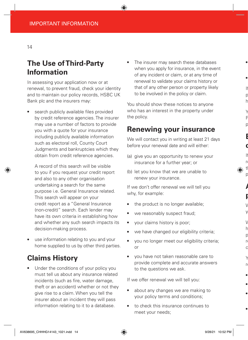# **The Use of Third-Party Information**

In assessing your application now or at renewal, to prevent fraud, check your identity and to maintain our policy records, HSBC UK Bank plc and the insurers may:

search publicly available files provided by credit reference agencies. The insurer may use a number of factors to provide you with a quote for your insurance including publicly available information such as electoral roll, County Court Judgments and bankruptcies which they obtain from credit reference agencies.

A record of this search will be visible to you if you request your credit report and also to any other organisation undertaking a search for the same purpose i.e. General Insurance related. This search will appear on your credit report as a "General Insurance (non-credit)" search. Each lender may have its own criteria in establishing how and whether any such search impacts its decision-making process.

use information relating to you and your home supplied to us by other third parties.

# **Claims History**

Under the conditions of your policy you must tell us about any insurance related incidents (such as fire, water damage, theft or an accident) whether or not they give rise to a claim. When you tell the insurer about an incident they will pass information relating to it to a database.

The insurer may search these databases when you apply for insurance, in the event of any incident or claim, or at any time of renewal to validate your claims history or that of any other person or property likely to be involved in the policy or claim.

You should show these notices to anyone who has an interest in the property under the policy.

## **Renewing your insurance**

We will contact you in writing at least 21 days before your renewal date and will either:

- (a) give you an opportunity to renew your insurance for a further year; or
- (b) let you know that we are unable to renew your insurance.

If we don't offer renewal we will tell you why, for example:

- the product is no longer available;
- we reasonably suspect fraud;
- your claims history is poor;
- we have changed our eligibility criteria;
- you no longer meet our eligibility criteria; or
- you have not taken reasonable care to provide complete and accurate answers to the questions we ask.

If we offer renewal we will tell you:

- about any changes we are making to your policy terms and conditions;
- to check this insurance continues to meet your needs;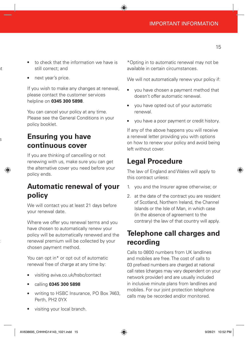15

- to check that the information we have is still correct; and
- next year's price.

If you wish to make any changes at renewal, please contact the customer services helpline on **0345 300 5898**.

You can cancel your policy at any time. Please see the General Conditions in your policy booklet.

# **Ensuring you have continuous cover**

If you are thinking of cancelling or not renewing with us, make sure you can get the alternative cover you need before your policy ends.

# **Automatic renewal of your policy**

We will contact you at least 21 days before your renewal date.

Where we offer you renewal terms and you have chosen to automatically renew your policy will be automatically renewed and the renewal premium will be collected by your chosen payment method.

You can opt in\* or opt out of automatic renewal free of charge at any time by:

- visiting [aviva.co.uk/hsbc/contact](http://aviva.co.uk/hsbc/contact)
- calling **0345 300 5898**
- writing to HSBC Insurance, PO Box 7463, Perth, PH2 0YX

\*Opting in to automatic renewal may not be available in certain circumstances.

We will not automatically renew your policy if:

- you have chosen a payment method that doesn't offer automatic renewal.
- you have opted out of your automatic renewal.
- you have a poor payment or credit history.

If any of the above happens you will receive a renewal letter providing you with options on how to renew your policy and avoid being left without cover.

# **Legal Procedure**

The law of England and Wales will apply to this contract unless:

- 1. you and the Insurer agree otherwise; or
- 2. at the date of the contract you are resident of Scotland, Northern Ireland, the Channel Islands or the Isle of Man, in which case (in the absence of agreement to the contrary) the law of that country will apply.

# **Telephone call charges and recording**

Calls to 0800 numbers from UK landlines and mobiles are free. The cost of calls to 03 prefixed numbers are charged at national call rates (charges may vary dependent on your network provider) and are usually included in inclusive minute plans from landlines and mobiles. For our joint protection telephone calls may be recorded and/or monitored.

visiting your local branch.